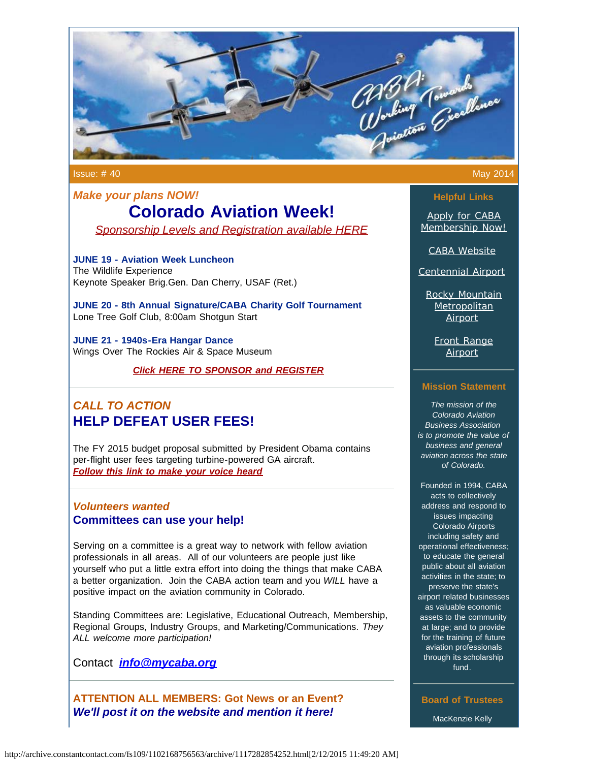

Issue: # 40 May 2014

# *Make your plans NOW!* **Colorado Aviation Week!** *Sponsorship [Levels and Registration available HERE](http://www.mycaba.org/caw?utm_source=Newsletter+May+2014&utm_campaign=May+2014+Newsletter&utm_medium=email)*

**JUNE 19 - Aviation Week Luncheon** The Wildlife Experience Keynote Speaker Brig.Gen. Dan Cherry, USAF (Ret.)

**JUNE 20 - 8th Annual Signature/CABA Charity Golf Tournament** Lone Tree Golf Club, 8:00am Shotgun Start

**JUNE 21 - 1940s-Era Hangar Dance** Wings Over The Rockies Air & Space Museum

*Click HERE [TO SPONSOR and REGISTER](http://mycaba.org/caw?utm_source=Newsletter+May+2014&utm_campaign=May+2014+Newsletter&utm_medium=email)* 

# *CALL TO ACTION*  **HELP DEFEAT USER FEES!**

The FY 2015 budget proposal submitted by President Obama contains per-flight user fees targeting turbine-powered GA aircraft. *[Follow this link to make your voice heard](http://www.mycaba.org/call-to-action?utm_source=Newsletter+May+2014&utm_campaign=May+2014+Newsletter&utm_medium=email)*

### *Volunteers wanted* **Committees can use your help!**

Serving on a committee is a great way to network with fellow aviation professionals in all areas. All of our volunteers are people just like yourself who put a little extra effort into doing the things that make CABA a better organization. Join the CABA action team and you *WILL* have a positive impact on the aviation community in Colorado.

Standing Committees are: Legislative, Educational Outreach, Membership, Regional Groups, Industry Groups, and Marketing/Communications. *They ALL welcome more participation!*

Contact *[info@mycaba.org](mailto:bdavies@mycaba.org)*

**ATTENTION ALL MEMBERS: Got News or an Event?** *We'll post it on the website and mention it here!*

**Helpful Links**

[Apply for CABA](http://www.mycaba.org/application?utm_source=Newsletter+May+2014&utm_campaign=May+2014+Newsletter&utm_medium=email) [Membership Now!](http://www.mycaba.org/application?utm_source=Newsletter+May+2014&utm_campaign=May+2014+Newsletter&utm_medium=email)

[CABA Website](http://www.mycaba.org/?utm_source=Newsletter+May+2014&utm_campaign=May+2014+Newsletter&utm_medium=email)

[Centennial Airport](http://centennialairport.com/?utm_source=Newsletter+May+2014&utm_campaign=May+2014+Newsletter&utm_medium=email)

[Rocky Mountain](http://jeffco.us/airport/?utm_source=Newsletter+May+2014&utm_campaign=May+2014+Newsletter&utm_medium=email) **[Metropolitan](http://jeffco.us/airport/?utm_source=Newsletter+May+2014&utm_campaign=May+2014+Newsletter&utm_medium=email)** [Airport](http://jeffco.us/airport/?utm_source=Newsletter+May+2014&utm_campaign=May+2014+Newsletter&utm_medium=email)

[Front Range](http://www.ftg-airport.com/?utm_source=Newsletter+May+2014&utm_campaign=May+2014+Newsletter&utm_medium=email) [Airport](http://www.ftg-airport.com/?utm_source=Newsletter+May+2014&utm_campaign=May+2014+Newsletter&utm_medium=email)

### **Mission Statement**

*The mission of the Colorado Aviation Business Association is to promote the value of business and general aviation across the state of Colorado.*

Founded in 1994, CABA acts to collectively address and respond to issues impacting Colorado Airports including safety and operational effectiveness; to educate the general public about all aviation activities in the state; to preserve the state's airport related businesses as valuable economic assets to the community at large; and to provide for the training of future aviation professionals through its scholarship fund.

**Board of Trustees** MacKenzie Kelly